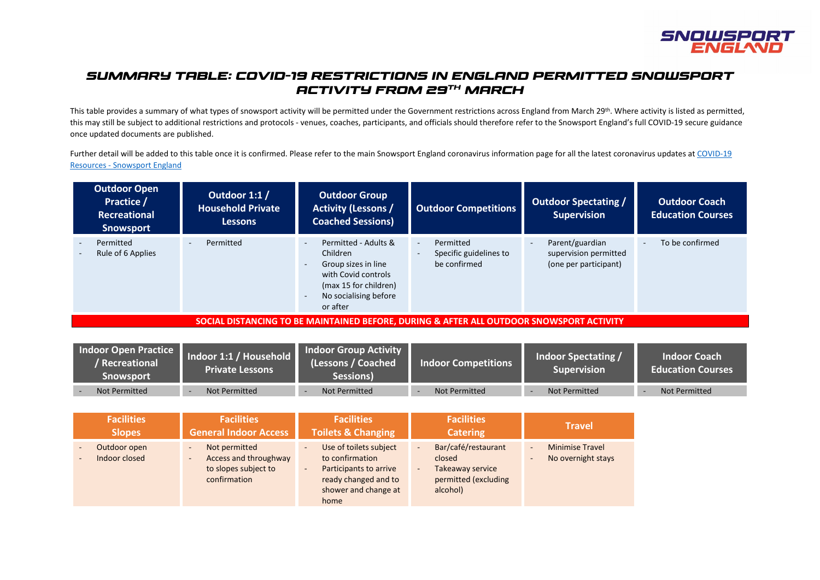

# *SUMMARY TABLE: COVID-19 RESTRICTIONS IN ENGLAND PERMITTED SNOWSPORT ACTIVITY FROM 29th MARCH*

This table provides a summary of what types of snowsport activity will be permitted under the Government restrictions across England from March 29<sup>th</sup>. Where activity is listed as permitted, this may still be subject to additional restrictions and protocols - venues, coaches, participants, and officials should therefore refer to the Snowsport England's full COVID-19 secure guidance once updated documents are published.

Further detail will be added to this table once it is confirmed. Please refer to the main Snowsport England coronavirus information page for all the latest coronavirus updates at COVID-19 Resources - [Snowsport England](https://www.snowsportengland.org.uk/covid-19-resources/)

| <b>Outdoor Open</b><br>Practice /<br><b>Recreational</b><br><b>Snowsport</b> | Outdoor 1:1 /<br><b>Household Private</b><br><b>Lessons</b> | <b>Outdoor Group</b><br><b>Activity (Lessons /</b><br><b>Coached Sessions)</b>                                                               | <b>Outdoor Competitions</b>                                                               | <b>Outdoor Spectating /</b><br><b>Supervision</b>                 | <b>Outdoor Coach</b><br><b>Education Courses</b> |
|------------------------------------------------------------------------------|-------------------------------------------------------------|----------------------------------------------------------------------------------------------------------------------------------------------|-------------------------------------------------------------------------------------------|-------------------------------------------------------------------|--------------------------------------------------|
| Permitted<br>Rule of 6 Applies                                               | Permitted                                                   | Permitted - Adults &<br>Children<br>Group sizes in line<br>with Covid controls<br>(max 15 for children)<br>No socialising before<br>or after | Permitted<br>$\sim$<br>Specific guidelines to<br>$\overline{\phantom{a}}$<br>be confirmed | Parent/guardian<br>supervision permitted<br>(one per participant) | To be confirmed<br>۰                             |

**SOCIAL DISTANCING TO BE MAINTAINED BEFORE, DURING & AFTER ALL OUTDOOR SNOWSPORT ACTIVITY**

| Indoor Open Practice<br>' Recreational<br>Snowsport | Indoor 1:1 / Household<br><b>Private Lessons</b> | <b>Indoor Group Activity</b><br>(Lessons / Coached<br>Sessions) | <b>Indoor Competitions</b> | Indoor Spectating /<br>Supervision <sup>1</sup> | <b>Indoor Coach</b><br><b>Education Courses</b> |
|-----------------------------------------------------|--------------------------------------------------|-----------------------------------------------------------------|----------------------------|-------------------------------------------------|-------------------------------------------------|
| Not Permitted                                       | Not Permitted                                    | Not Permitted                                                   | Not Permitted              | Not Permitted                                   | Not Permitted                                   |

| <b>Facilities</b>             | <b>Facilities</b>                                                                                                                      | <b>Facilities</b>                                                                                                                                                                   | <b>Facilities</b>                                                                                                                   | <b>Travel</b>                                                                      |
|-------------------------------|----------------------------------------------------------------------------------------------------------------------------------------|-------------------------------------------------------------------------------------------------------------------------------------------------------------------------------------|-------------------------------------------------------------------------------------------------------------------------------------|------------------------------------------------------------------------------------|
| <b>Slopes</b>                 | <b>General Indoor Access</b>                                                                                                           | <b>Toilets &amp; Changing</b>                                                                                                                                                       | <b>Catering</b>                                                                                                                     |                                                                                    |
| Outdoor open<br>Indoor closed | Not permitted<br>$\overline{\phantom{a}}$<br>Access and throughway<br>$\overline{\phantom{a}}$<br>to slopes subject to<br>confirmation | Use of toilets subject<br>$\overline{\phantom{a}}$<br>to confirmation<br>Participants to arrive<br>$\overline{\phantom{a}}$<br>ready changed and to<br>shower and change at<br>home | Bar/café/restaurant<br>$\blacksquare$<br>closed<br>Takeaway service<br>$\overline{\phantom{a}}$<br>permitted (excluding<br>alcohol) | <b>Minimise Travel</b><br>$\sim$<br>No overnight stays<br>$\overline{\phantom{a}}$ |